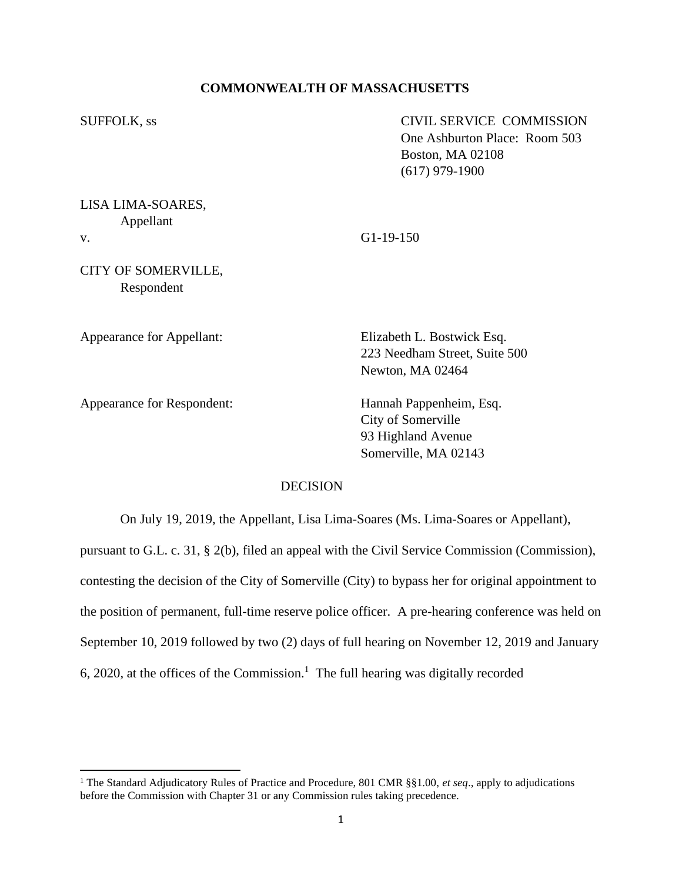## **COMMONWEALTH OF MASSACHUSETTS**

SUFFOLK, ss CIVIL SERVICE COMMISSION One Ashburton Place: Room 503 Boston, MA 02108 (617) 979-1900

LISA LIMA-SOARES, Appellant v. G1-19-150

CITY OF SOMERVILLE, Respondent

Appearance for Appellant: Elizabeth L. Bostwick Esq.

Appearance for Respondent: Hannah Pappenheim, Esq.

223 Needham Street, Suite 500 Newton, MA 02464

City of Somerville 93 Highland Avenue Somerville, MA 02143

# **DECISION**

On July 19, 2019, the Appellant, Lisa Lima-Soares (Ms. Lima-Soares or Appellant), pursuant to G.L. c. 31, § 2(b), filed an appeal with the Civil Service Commission (Commission), contesting the decision of the City of Somerville (City) to bypass her for original appointment to the position of permanent, full-time reserve police officer. A pre-hearing conference was held on September 10, 2019 followed by two (2) days of full hearing on November 12, 2019 and January 6, 2020, at the offices of the Commission.<sup>1</sup> The full hearing was digitally recorded

<sup>1</sup> The Standard Adjudicatory Rules of Practice and Procedure, 801 CMR §§1.00, *et seq*., apply to adjudications before the Commission with Chapter 31 or any Commission rules taking precedence.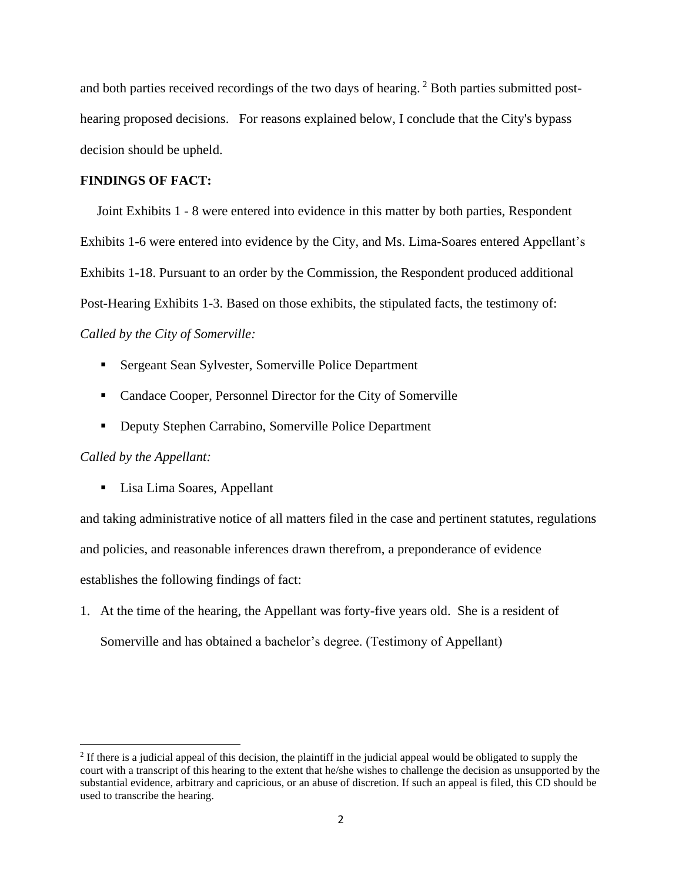and both parties received recordings of the two days of hearing.<sup>2</sup> Both parties submitted posthearing proposed decisions. For reasons explained below, I conclude that the City's bypass decision should be upheld.

## **FINDINGS OF FACT:**

Joint Exhibits 1 - 8 were entered into evidence in this matter by both parties, Respondent Exhibits 1-6 were entered into evidence by the City, and Ms. Lima-Soares entered Appellant's Exhibits 1-18. Pursuant to an order by the Commission, the Respondent produced additional Post-Hearing Exhibits 1-3. Based on those exhibits, the stipulated facts, the testimony of: *Called by the City of Somerville:*

- **Example 3 Sergeant Sean Sylvester, Somerville Police Department**
- Candace Cooper, Personnel Director for the City of Somerville
- Deputy Stephen Carrabino, Somerville Police Department

## *Called by the Appellant:*

■ Lisa Lima Soares, Appellant

and taking administrative notice of all matters filed in the case and pertinent statutes, regulations and policies, and reasonable inferences drawn therefrom, a preponderance of evidence establishes the following findings of fact:

1. At the time of the hearing, the Appellant was forty-five years old. She is a resident of Somerville and has obtained a bachelor's degree. (Testimony of Appellant)

 $<sup>2</sup>$  If there is a judicial appeal of this decision, the plaintiff in the judicial appeal would be obligated to supply the</sup> court with a transcript of this hearing to the extent that he/she wishes to challenge the decision as unsupported by the substantial evidence, arbitrary and capricious, or an abuse of discretion. If such an appeal is filed, this CD should be used to transcribe the hearing.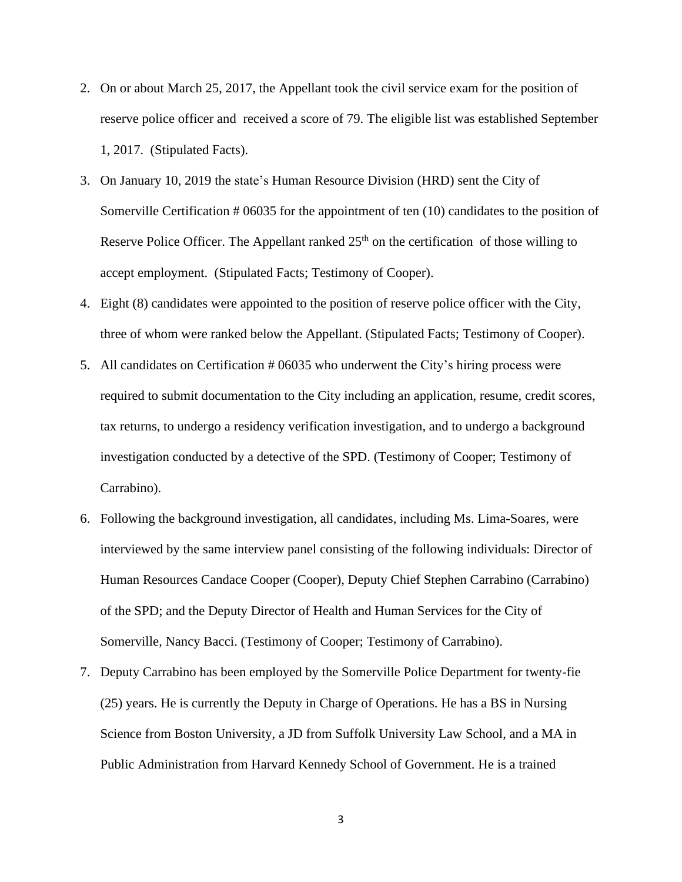- 2. On or about March 25, 2017, the Appellant took the civil service exam for the position of reserve police officer and received a score of 79. The eligible list was established September 1, 2017. (Stipulated Facts).
- 3. On January 10, 2019 the state's Human Resource Division (HRD) sent the City of Somerville Certification # 06035 for the appointment of ten (10) candidates to the position of Reserve Police Officer. The Appellant ranked  $25<sup>th</sup>$  on the certification of those willing to accept employment. (Stipulated Facts; Testimony of Cooper).
- 4. Eight (8) candidates were appointed to the position of reserve police officer with the City, three of whom were ranked below the Appellant. (Stipulated Facts; Testimony of Cooper).
- 5. All candidates on Certification # 06035 who underwent the City's hiring process were required to submit documentation to the City including an application, resume, credit scores, tax returns, to undergo a residency verification investigation, and to undergo a background investigation conducted by a detective of the SPD. (Testimony of Cooper; Testimony of Carrabino).
- 6. Following the background investigation, all candidates, including Ms. Lima-Soares, were interviewed by the same interview panel consisting of the following individuals: Director of Human Resources Candace Cooper (Cooper), Deputy Chief Stephen Carrabino (Carrabino) of the SPD; and the Deputy Director of Health and Human Services for the City of Somerville, Nancy Bacci. (Testimony of Cooper; Testimony of Carrabino).
- 7. Deputy Carrabino has been employed by the Somerville Police Department for twenty-fie (25) years. He is currently the Deputy in Charge of Operations. He has a BS in Nursing Science from Boston University, a JD from Suffolk University Law School, and a MA in Public Administration from Harvard Kennedy School of Government. He is a trained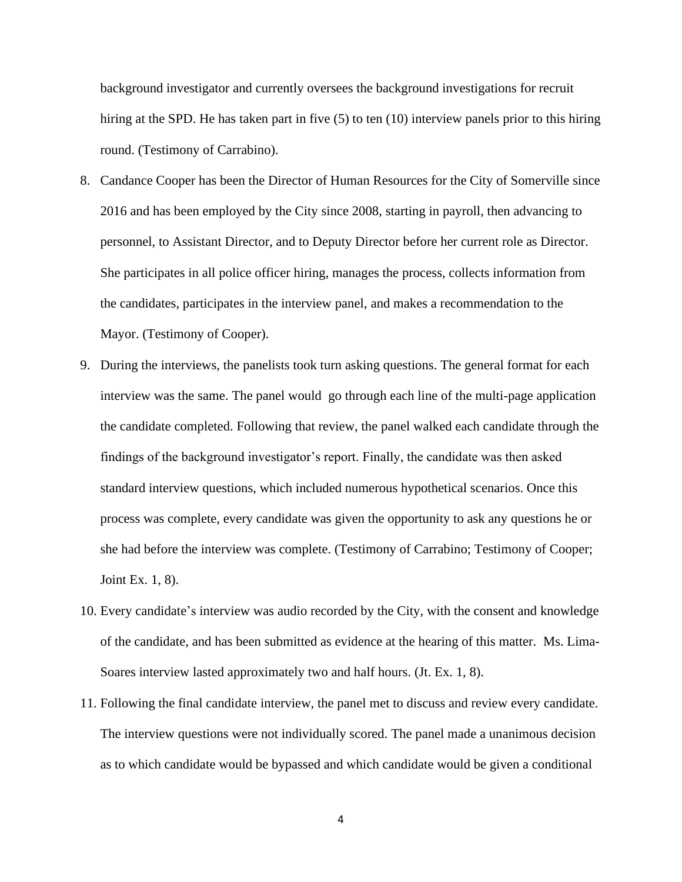background investigator and currently oversees the background investigations for recruit hiring at the SPD. He has taken part in five (5) to ten (10) interview panels prior to this hiring round. (Testimony of Carrabino).

- 8. Candance Cooper has been the Director of Human Resources for the City of Somerville since 2016 and has been employed by the City since 2008, starting in payroll, then advancing to personnel, to Assistant Director, and to Deputy Director before her current role as Director. She participates in all police officer hiring, manages the process, collects information from the candidates, participates in the interview panel, and makes a recommendation to the Mayor. (Testimony of Cooper).
- 9. During the interviews, the panelists took turn asking questions. The general format for each interview was the same. The panel would go through each line of the multi-page application the candidate completed. Following that review, the panel walked each candidate through the findings of the background investigator's report. Finally, the candidate was then asked standard interview questions, which included numerous hypothetical scenarios. Once this process was complete, every candidate was given the opportunity to ask any questions he or she had before the interview was complete. (Testimony of Carrabino; Testimony of Cooper; Joint Ex. 1, 8).
- 10. Every candidate's interview was audio recorded by the City, with the consent and knowledge of the candidate, and has been submitted as evidence at the hearing of this matter. Ms. Lima-Soares interview lasted approximately two and half hours. (Jt. Ex. 1, 8).
- 11. Following the final candidate interview, the panel met to discuss and review every candidate. The interview questions were not individually scored. The panel made a unanimous decision as to which candidate would be bypassed and which candidate would be given a conditional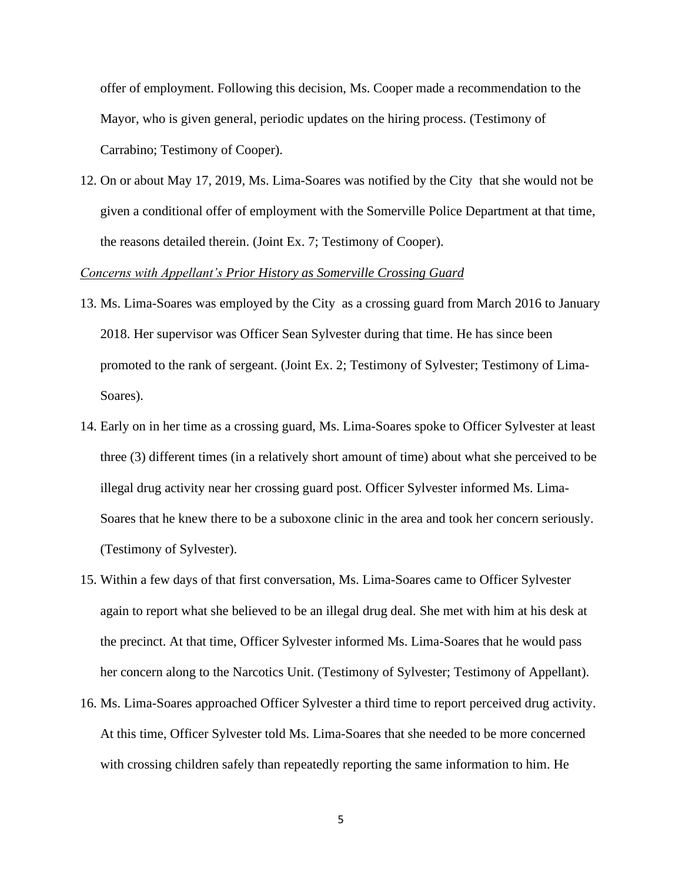offer of employment. Following this decision, Ms. Cooper made a recommendation to the Mayor, who is given general, periodic updates on the hiring process. (Testimony of Carrabino; Testimony of Cooper).

12. On or about May 17, 2019, Ms. Lima-Soares was notified by the City that she would not be given a conditional offer of employment with the Somerville Police Department at that time, the reasons detailed therein. (Joint Ex. 7; Testimony of Cooper).

### *Concerns with Appellant's Prior History as Somerville Crossing Guard*

- 13. Ms. Lima-Soares was employed by the City as a crossing guard from March 2016 to January 2018. Her supervisor was Officer Sean Sylvester during that time. He has since been promoted to the rank of sergeant. (Joint Ex. 2; Testimony of Sylvester; Testimony of Lima-Soares).
- 14. Early on in her time as a crossing guard, Ms. Lima-Soares spoke to Officer Sylvester at least three (3) different times (in a relatively short amount of time) about what she perceived to be illegal drug activity near her crossing guard post. Officer Sylvester informed Ms. Lima-Soares that he knew there to be a suboxone clinic in the area and took her concern seriously. (Testimony of Sylvester).
- 15. Within a few days of that first conversation, Ms. Lima-Soares came to Officer Sylvester again to report what she believed to be an illegal drug deal. She met with him at his desk at the precinct. At that time, Officer Sylvester informed Ms. Lima-Soares that he would pass her concern along to the Narcotics Unit. (Testimony of Sylvester; Testimony of Appellant).
- 16. Ms. Lima-Soares approached Officer Sylvester a third time to report perceived drug activity. At this time, Officer Sylvester told Ms. Lima-Soares that she needed to be more concerned with crossing children safely than repeatedly reporting the same information to him. He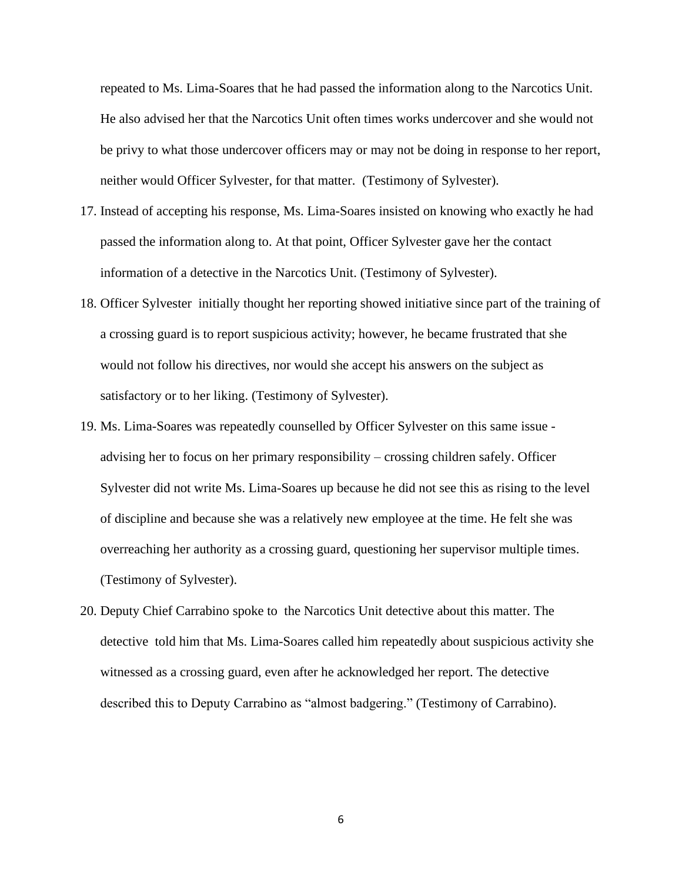repeated to Ms. Lima-Soares that he had passed the information along to the Narcotics Unit. He also advised her that the Narcotics Unit often times works undercover and she would not be privy to what those undercover officers may or may not be doing in response to her report, neither would Officer Sylvester, for that matter. (Testimony of Sylvester).

- 17. Instead of accepting his response, Ms. Lima-Soares insisted on knowing who exactly he had passed the information along to. At that point, Officer Sylvester gave her the contact information of a detective in the Narcotics Unit. (Testimony of Sylvester).
- 18. Officer Sylvester initially thought her reporting showed initiative since part of the training of a crossing guard is to report suspicious activity; however, he became frustrated that she would not follow his directives, nor would she accept his answers on the subject as satisfactory or to her liking. (Testimony of Sylvester).
- 19. Ms. Lima-Soares was repeatedly counselled by Officer Sylvester on this same issue advising her to focus on her primary responsibility – crossing children safely. Officer Sylvester did not write Ms. Lima-Soares up because he did not see this as rising to the level of discipline and because she was a relatively new employee at the time. He felt she was overreaching her authority as a crossing guard, questioning her supervisor multiple times. (Testimony of Sylvester).
- 20. Deputy Chief Carrabino spoke to the Narcotics Unit detective about this matter. The detective told him that Ms. Lima-Soares called him repeatedly about suspicious activity she witnessed as a crossing guard, even after he acknowledged her report. The detective described this to Deputy Carrabino as "almost badgering." (Testimony of Carrabino).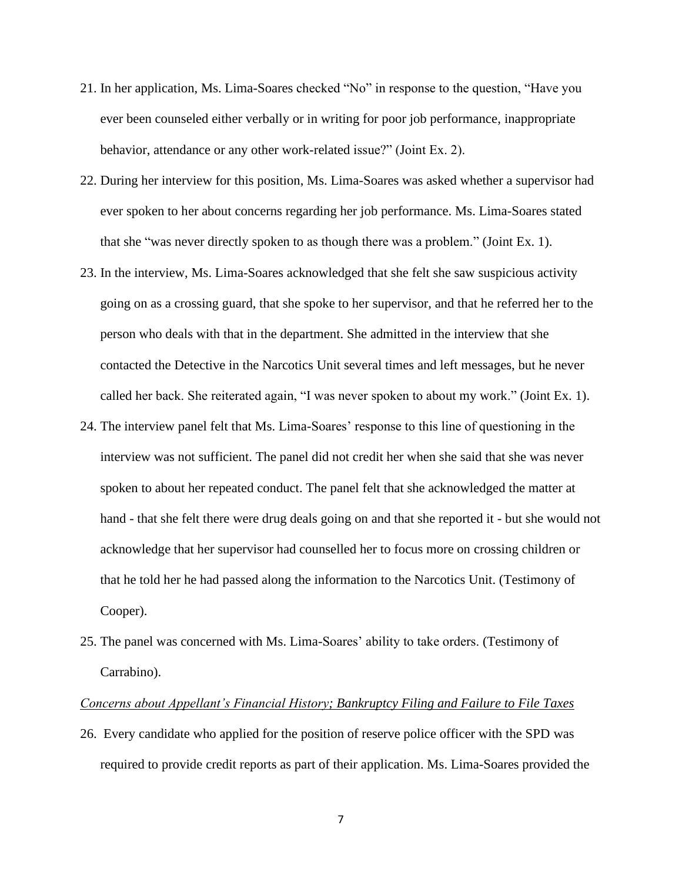- 21. In her application, Ms. Lima-Soares checked "No" in response to the question, "Have you ever been counseled either verbally or in writing for poor job performance, inappropriate behavior, attendance or any other work-related issue?" (Joint Ex. 2).
- 22. During her interview for this position, Ms. Lima-Soares was asked whether a supervisor had ever spoken to her about concerns regarding her job performance. Ms. Lima-Soares stated that she "was never directly spoken to as though there was a problem." (Joint Ex. 1).
- 23. In the interview, Ms. Lima-Soares acknowledged that she felt she saw suspicious activity going on as a crossing guard, that she spoke to her supervisor, and that he referred her to the person who deals with that in the department. She admitted in the interview that she contacted the Detective in the Narcotics Unit several times and left messages, but he never called her back. She reiterated again, "I was never spoken to about my work." (Joint Ex. 1).
- 24. The interview panel felt that Ms. Lima-Soares' response to this line of questioning in the interview was not sufficient. The panel did not credit her when she said that she was never spoken to about her repeated conduct. The panel felt that she acknowledged the matter at hand - that she felt there were drug deals going on and that she reported it - but she would not acknowledge that her supervisor had counselled her to focus more on crossing children or that he told her he had passed along the information to the Narcotics Unit. (Testimony of Cooper).
- 25. The panel was concerned with Ms. Lima-Soares' ability to take orders. (Testimony of Carrabino).

### *Concerns about Appellant's Financial History; Bankruptcy Filing and Failure to File Taxes*

26. Every candidate who applied for the position of reserve police officer with the SPD was required to provide credit reports as part of their application. Ms. Lima-Soares provided the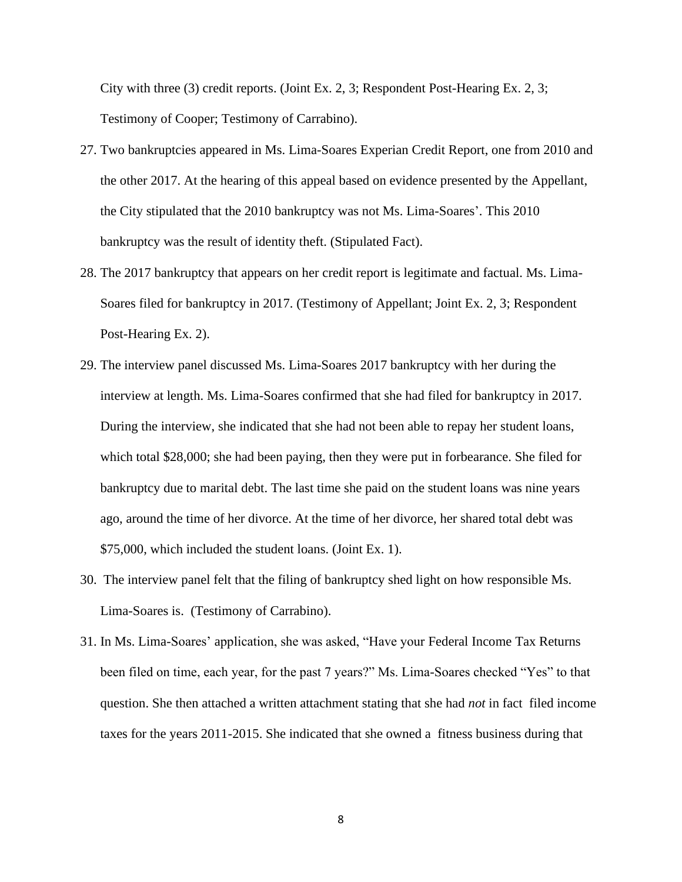City with three (3) credit reports. (Joint Ex. 2, 3; Respondent Post-Hearing Ex. 2, 3; Testimony of Cooper; Testimony of Carrabino).

- 27. Two bankruptcies appeared in Ms. Lima-Soares Experian Credit Report, one from 2010 and the other 2017. At the hearing of this appeal based on evidence presented by the Appellant, the City stipulated that the 2010 bankruptcy was not Ms. Lima-Soares'. This 2010 bankruptcy was the result of identity theft. (Stipulated Fact).
- 28. The 2017 bankruptcy that appears on her credit report is legitimate and factual. Ms. Lima-Soares filed for bankruptcy in 2017. (Testimony of Appellant; Joint Ex. 2, 3; Respondent Post-Hearing Ex. 2).
- 29. The interview panel discussed Ms. Lima-Soares 2017 bankruptcy with her during the interview at length. Ms. Lima-Soares confirmed that she had filed for bankruptcy in 2017. During the interview, she indicated that she had not been able to repay her student loans, which total \$28,000; she had been paying, then they were put in forbearance. She filed for bankruptcy due to marital debt. The last time she paid on the student loans was nine years ago, around the time of her divorce. At the time of her divorce, her shared total debt was \$75,000, which included the student loans. (Joint Ex. 1).
- 30. The interview panel felt that the filing of bankruptcy shed light on how responsible Ms. Lima-Soares is. (Testimony of Carrabino).
- 31. In Ms. Lima-Soares' application, she was asked, "Have your Federal Income Tax Returns been filed on time, each year, for the past 7 years?" Ms. Lima-Soares checked "Yes" to that question. She then attached a written attachment stating that she had *not* in fact filed income taxes for the years 2011-2015. She indicated that she owned a fitness business during that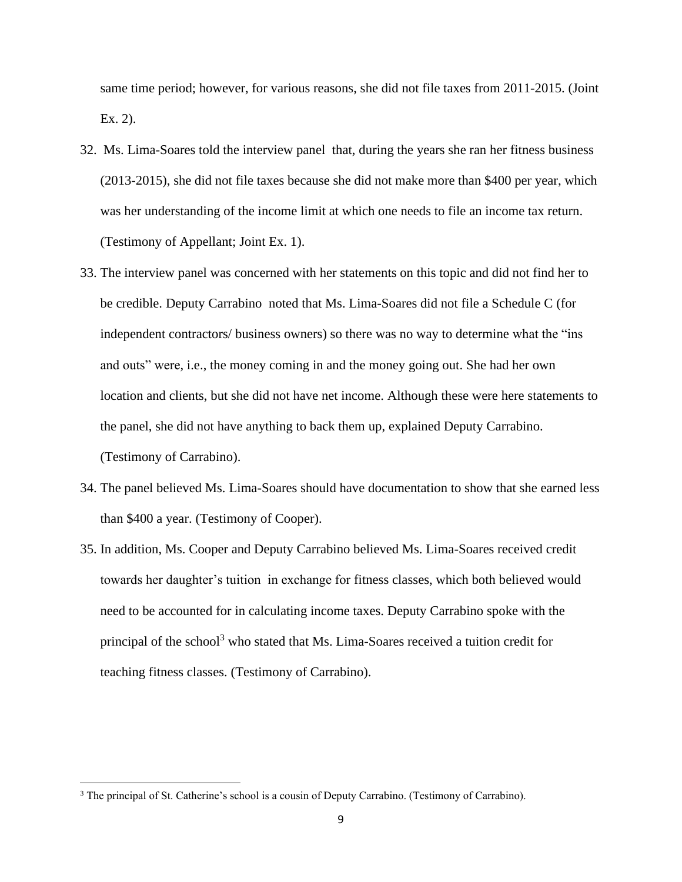same time period; however, for various reasons, she did not file taxes from 2011-2015. (Joint Ex. 2).

- 32. Ms. Lima-Soares told the interview panel that, during the years she ran her fitness business (2013-2015), she did not file taxes because she did not make more than \$400 per year, which was her understanding of the income limit at which one needs to file an income tax return. (Testimony of Appellant; Joint Ex. 1).
- 33. The interview panel was concerned with her statements on this topic and did not find her to be credible. Deputy Carrabino noted that Ms. Lima-Soares did not file a Schedule C (for independent contractors/ business owners) so there was no way to determine what the "ins and outs" were, i.e., the money coming in and the money going out. She had her own location and clients, but she did not have net income. Although these were here statements to the panel, she did not have anything to back them up, explained Deputy Carrabino. (Testimony of Carrabino).
- 34. The panel believed Ms. Lima-Soares should have documentation to show that she earned less than \$400 a year. (Testimony of Cooper).
- 35. In addition, Ms. Cooper and Deputy Carrabino believed Ms. Lima-Soares received credit towards her daughter's tuition in exchange for fitness classes, which both believed would need to be accounted for in calculating income taxes. Deputy Carrabino spoke with the principal of the school<sup>3</sup> who stated that Ms. Lima-Soares received a tuition credit for teaching fitness classes. (Testimony of Carrabino).

<sup>&</sup>lt;sup>3</sup> The principal of St. Catherine's school is a cousin of Deputy Carrabino. (Testimony of Carrabino).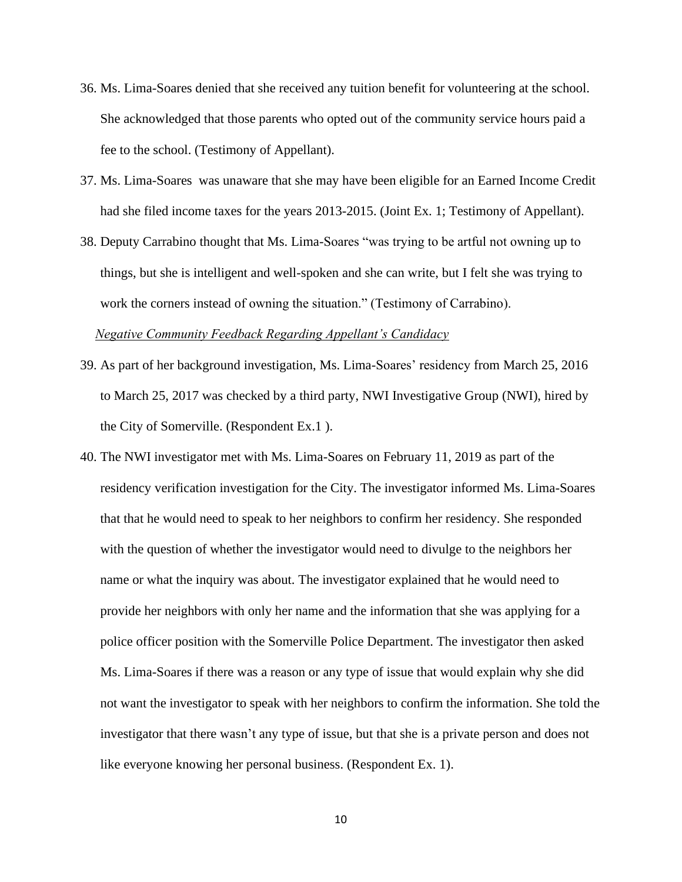- 36. Ms. Lima-Soares denied that she received any tuition benefit for volunteering at the school. She acknowledged that those parents who opted out of the community service hours paid a fee to the school. (Testimony of Appellant).
- 37. Ms. Lima-Soares was unaware that she may have been eligible for an Earned Income Credit had she filed income taxes for the years 2013-2015. (Joint Ex. 1; Testimony of Appellant).
- 38. Deputy Carrabino thought that Ms. Lima-Soares "was trying to be artful not owning up to things, but she is intelligent and well-spoken and she can write, but I felt she was trying to work the corners instead of owning the situation." (Testimony of Carrabino).

*Negative Community Feedback Regarding Appellant's Candidacy*

- 39. As part of her background investigation, Ms. Lima-Soares' residency from March 25, 2016 to March 25, 2017 was checked by a third party, NWI Investigative Group (NWI), hired by the City of Somerville. (Respondent Ex.1 ).
- 40. The NWI investigator met with Ms. Lima-Soares on February 11, 2019 as part of the residency verification investigation for the City. The investigator informed Ms. Lima-Soares that that he would need to speak to her neighbors to confirm her residency. She responded with the question of whether the investigator would need to divulge to the neighbors her name or what the inquiry was about. The investigator explained that he would need to provide her neighbors with only her name and the information that she was applying for a police officer position with the Somerville Police Department. The investigator then asked Ms. Lima-Soares if there was a reason or any type of issue that would explain why she did not want the investigator to speak with her neighbors to confirm the information. She told the investigator that there wasn't any type of issue, but that she is a private person and does not like everyone knowing her personal business. (Respondent Ex. 1).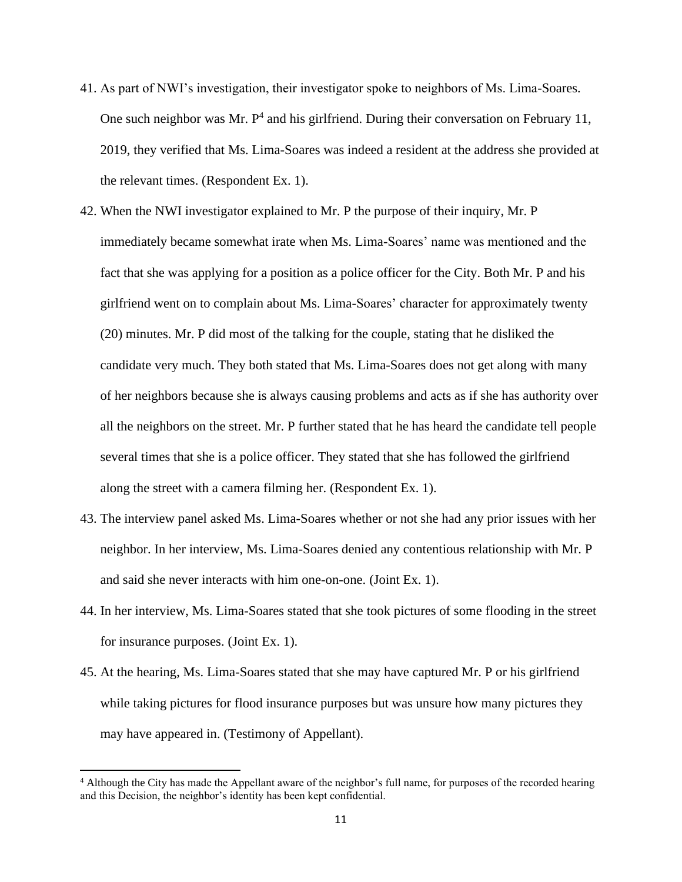- 41. As part of NWI's investigation, their investigator spoke to neighbors of Ms. Lima-Soares. One such neighbor was Mr.  $P<sup>4</sup>$  and his girlfriend. During their conversation on February 11, 2019, they verified that Ms. Lima-Soares was indeed a resident at the address she provided at the relevant times. (Respondent Ex. 1).
- 42. When the NWI investigator explained to Mr. P the purpose of their inquiry, Mr. P immediately became somewhat irate when Ms. Lima-Soares' name was mentioned and the fact that she was applying for a position as a police officer for the City. Both Mr. P and his girlfriend went on to complain about Ms. Lima-Soares' character for approximately twenty (20) minutes. Mr. P did most of the talking for the couple, stating that he disliked the candidate very much. They both stated that Ms. Lima-Soares does not get along with many of her neighbors because she is always causing problems and acts as if she has authority over all the neighbors on the street. Mr. P further stated that he has heard the candidate tell people several times that she is a police officer. They stated that she has followed the girlfriend along the street with a camera filming her. (Respondent Ex. 1).
- 43. The interview panel asked Ms. Lima-Soares whether or not she had any prior issues with her neighbor. In her interview, Ms. Lima-Soares denied any contentious relationship with Mr. P and said she never interacts with him one-on-one. (Joint Ex. 1).
- 44. In her interview, Ms. Lima-Soares stated that she took pictures of some flooding in the street for insurance purposes. (Joint Ex. 1).
- 45. At the hearing, Ms. Lima-Soares stated that she may have captured Mr. P or his girlfriend while taking pictures for flood insurance purposes but was unsure how many pictures they may have appeared in. (Testimony of Appellant).

<sup>&</sup>lt;sup>4</sup> Although the City has made the Appellant aware of the neighbor's full name, for purposes of the recorded hearing and this Decision, the neighbor's identity has been kept confidential.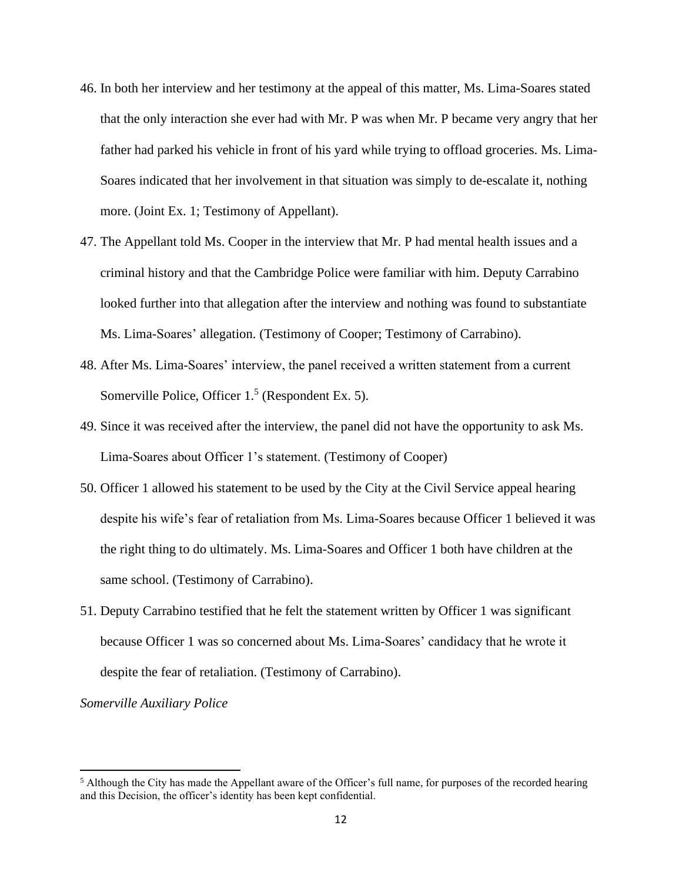- 46. In both her interview and her testimony at the appeal of this matter, Ms. Lima-Soares stated that the only interaction she ever had with Mr. P was when Mr. P became very angry that her father had parked his vehicle in front of his yard while trying to offload groceries. Ms. Lima-Soares indicated that her involvement in that situation was simply to de-escalate it, nothing more. (Joint Ex. 1; Testimony of Appellant).
- 47. The Appellant told Ms. Cooper in the interview that Mr. P had mental health issues and a criminal history and that the Cambridge Police were familiar with him. Deputy Carrabino looked further into that allegation after the interview and nothing was found to substantiate Ms. Lima-Soares' allegation. (Testimony of Cooper; Testimony of Carrabino).
- 48. After Ms. Lima-Soares' interview, the panel received a written statement from a current Somerville Police, Officer  $1<sup>5</sup>$  (Respondent Ex. 5).
- 49. Since it was received after the interview, the panel did not have the opportunity to ask Ms. Lima-Soares about Officer 1's statement. (Testimony of Cooper)
- 50. Officer 1 allowed his statement to be used by the City at the Civil Service appeal hearing despite his wife's fear of retaliation from Ms. Lima-Soares because Officer 1 believed it was the right thing to do ultimately. Ms. Lima-Soares and Officer 1 both have children at the same school. (Testimony of Carrabino).
- 51. Deputy Carrabino testified that he felt the statement written by Officer 1 was significant because Officer 1 was so concerned about Ms. Lima-Soares' candidacy that he wrote it despite the fear of retaliation. (Testimony of Carrabino).

*Somerville Auxiliary Police* 

<sup>&</sup>lt;sup>5</sup> Although the City has made the Appellant aware of the Officer's full name, for purposes of the recorded hearing and this Decision, the officer's identity has been kept confidential.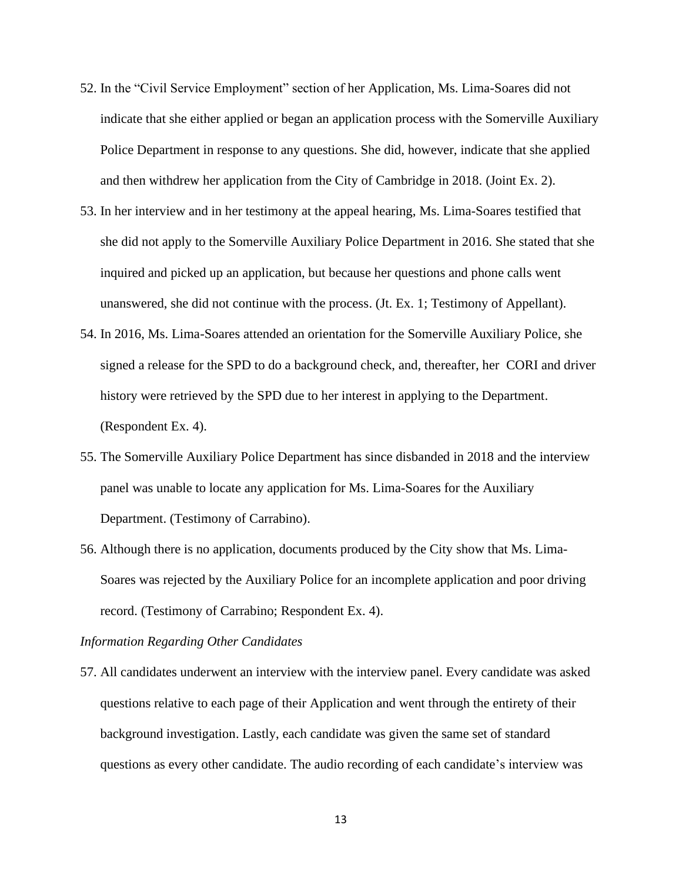- 52. In the "Civil Service Employment" section of her Application, Ms. Lima-Soares did not indicate that she either applied or began an application process with the Somerville Auxiliary Police Department in response to any questions. She did, however, indicate that she applied and then withdrew her application from the City of Cambridge in 2018. (Joint Ex. 2).
- 53. In her interview and in her testimony at the appeal hearing, Ms. Lima-Soares testified that she did not apply to the Somerville Auxiliary Police Department in 2016. She stated that she inquired and picked up an application, but because her questions and phone calls went unanswered, she did not continue with the process. (Jt. Ex. 1; Testimony of Appellant).
- 54. In 2016, Ms. Lima-Soares attended an orientation for the Somerville Auxiliary Police, she signed a release for the SPD to do a background check, and, thereafter, her CORI and driver history were retrieved by the SPD due to her interest in applying to the Department. (Respondent Ex. 4).
- 55. The Somerville Auxiliary Police Department has since disbanded in 2018 and the interview panel was unable to locate any application for Ms. Lima-Soares for the Auxiliary Department. (Testimony of Carrabino).
- 56. Although there is no application, documents produced by the City show that Ms. Lima-Soares was rejected by the Auxiliary Police for an incomplete application and poor driving record. (Testimony of Carrabino; Respondent Ex. 4).

### *Information Regarding Other Candidates*

57. All candidates underwent an interview with the interview panel. Every candidate was asked questions relative to each page of their Application and went through the entirety of their background investigation. Lastly, each candidate was given the same set of standard questions as every other candidate. The audio recording of each candidate's interview was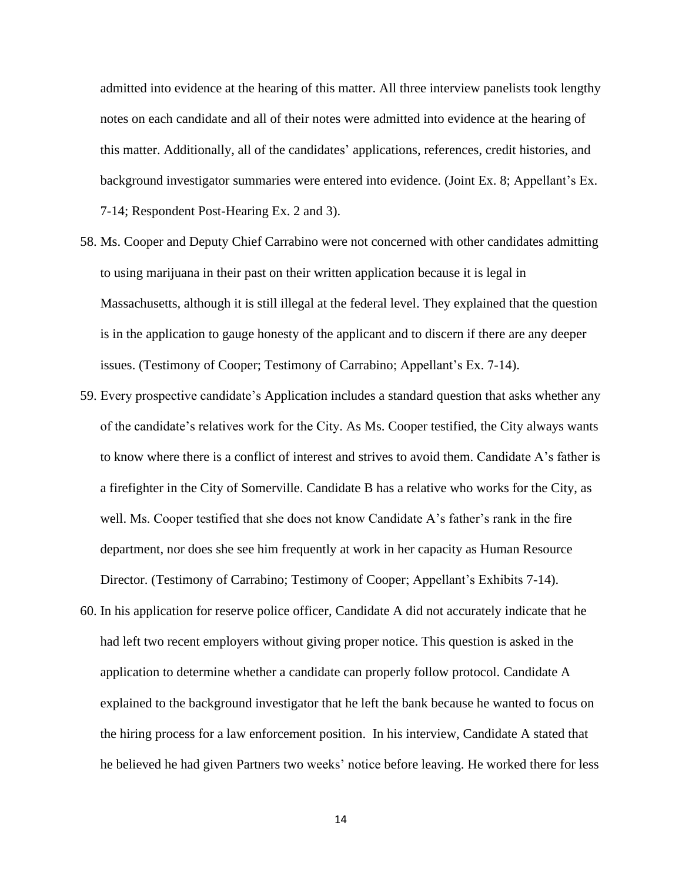admitted into evidence at the hearing of this matter. All three interview panelists took lengthy notes on each candidate and all of their notes were admitted into evidence at the hearing of this matter. Additionally, all of the candidates' applications, references, credit histories, and background investigator summaries were entered into evidence. (Joint Ex. 8; Appellant's Ex. 7-14; Respondent Post-Hearing Ex. 2 and 3).

- 58. Ms. Cooper and Deputy Chief Carrabino were not concerned with other candidates admitting to using marijuana in their past on their written application because it is legal in Massachusetts, although it is still illegal at the federal level. They explained that the question is in the application to gauge honesty of the applicant and to discern if there are any deeper issues. (Testimony of Cooper; Testimony of Carrabino; Appellant's Ex. 7-14).
- 59. Every prospective candidate's Application includes a standard question that asks whether any of the candidate's relatives work for the City. As Ms. Cooper testified, the City always wants to know where there is a conflict of interest and strives to avoid them. Candidate A's father is a firefighter in the City of Somerville. Candidate B has a relative who works for the City, as well. Ms. Cooper testified that she does not know Candidate A's father's rank in the fire department, nor does she see him frequently at work in her capacity as Human Resource Director. (Testimony of Carrabino; Testimony of Cooper; Appellant's Exhibits 7-14).
- 60. In his application for reserve police officer, Candidate A did not accurately indicate that he had left two recent employers without giving proper notice. This question is asked in the application to determine whether a candidate can properly follow protocol. Candidate A explained to the background investigator that he left the bank because he wanted to focus on the hiring process for a law enforcement position. In his interview, Candidate A stated that he believed he had given Partners two weeks' notice before leaving. He worked there for less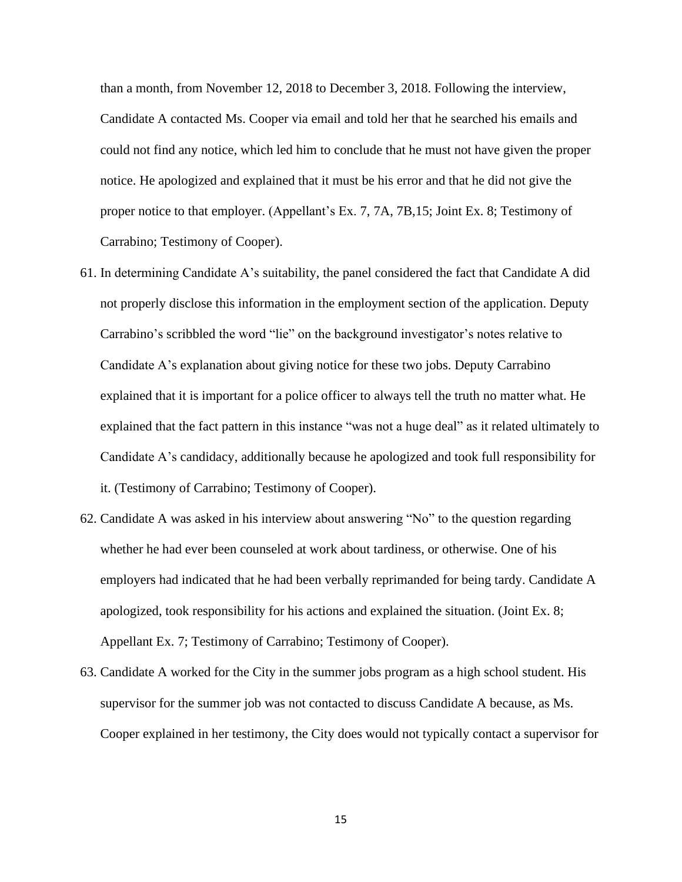than a month, from November 12, 2018 to December 3, 2018. Following the interview, Candidate A contacted Ms. Cooper via email and told her that he searched his emails and could not find any notice, which led him to conclude that he must not have given the proper notice. He apologized and explained that it must be his error and that he did not give the proper notice to that employer. (Appellant's Ex. 7, 7A, 7B,15; Joint Ex. 8; Testimony of Carrabino; Testimony of Cooper).

- 61. In determining Candidate A's suitability, the panel considered the fact that Candidate A did not properly disclose this information in the employment section of the application. Deputy Carrabino's scribbled the word "lie" on the background investigator's notes relative to Candidate A's explanation about giving notice for these two jobs. Deputy Carrabino explained that it is important for a police officer to always tell the truth no matter what. He explained that the fact pattern in this instance "was not a huge deal" as it related ultimately to Candidate A's candidacy, additionally because he apologized and took full responsibility for it. (Testimony of Carrabino; Testimony of Cooper).
- 62. Candidate A was asked in his interview about answering "No" to the question regarding whether he had ever been counseled at work about tardiness, or otherwise. One of his employers had indicated that he had been verbally reprimanded for being tardy. Candidate A apologized, took responsibility for his actions and explained the situation. (Joint Ex. 8; Appellant Ex. 7; Testimony of Carrabino; Testimony of Cooper).
- 63. Candidate A worked for the City in the summer jobs program as a high school student. His supervisor for the summer job was not contacted to discuss Candidate A because, as Ms. Cooper explained in her testimony, the City does would not typically contact a supervisor for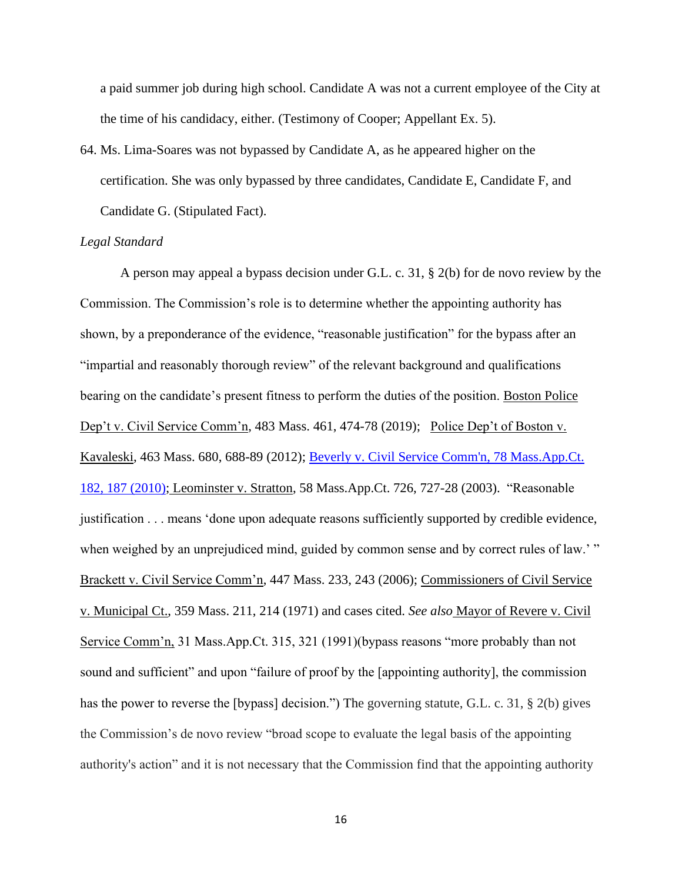a paid summer job during high school. Candidate A was not a current employee of the City at the time of his candidacy, either. (Testimony of Cooper; Appellant Ex. 5).

64. Ms. Lima-Soares was not bypassed by Candidate A, as he appeared higher on the certification. She was only bypassed by three candidates, Candidate E, Candidate F, and Candidate G. (Stipulated Fact).

### *Legal Standard*

A person may appeal a bypass decision under G.L. c. 31, § 2(b) for de novo review by the Commission. The Commission's role is to determine whether the appointing authority has shown, by a preponderance of the evidence, "reasonable justification" for the bypass after an "impartial and reasonably thorough review" of the relevant background and qualifications bearing on the candidate's present fitness to perform the duties of the position. Boston Police Dep't v. Civil Service Comm'n, 483 Mass. 461, 474-78 (2019); Police Dep't of Boston v. Kavaleski, 463 Mass. 680, 688-89 (2012); [Beverly v. Civil Service Comm'n, 78 Mass.App.Ct.](http://web2.westlaw.com/find/default.wl?mt=Massachusetts&db=578&rs=WLW15.04&tc=-1&rp=%2ffind%2fdefault.wl&findtype=Y&ordoc=2029136022&serialnum=2023501172&vr=2.0&fn=_top&sv=Split&tf=-1&pbc=70F732C1&utid=1)  [182, 187 \(2010\);](http://web2.westlaw.com/find/default.wl?mt=Massachusetts&db=578&rs=WLW15.04&tc=-1&rp=%2ffind%2fdefault.wl&findtype=Y&ordoc=2029136022&serialnum=2023501172&vr=2.0&fn=_top&sv=Split&tf=-1&pbc=70F732C1&utid=1) Leominster v. Stratton, 58 Mass.App.Ct. 726, 727-28 (2003). "Reasonable justification . . . means 'done upon adequate reasons sufficiently supported by credible evidence, when weighed by an unprejudiced mind, guided by common sense and by correct rules of law.'" Brackett v. Civil Service Comm'n, 447 Mass. 233, 243 (2006); Commissioners of Civil Service v. Municipal Ct., 359 Mass. 211, 214 (1971) and cases cited. *See also* Mayor of Revere v. Civil Service Comm'n, 31 Mass.App.Ct. 315, 321 (1991)(bypass reasons "more probably than not sound and sufficient" and upon "failure of proof by the [appointing authority], the commission has the power to reverse the [bypass] decision.") The governing statute, G.L. c. 31, § 2(b) gives the Commission's de novo review "broad scope to evaluate the legal basis of the appointing authority's action" and it is not necessary that the Commission find that the appointing authority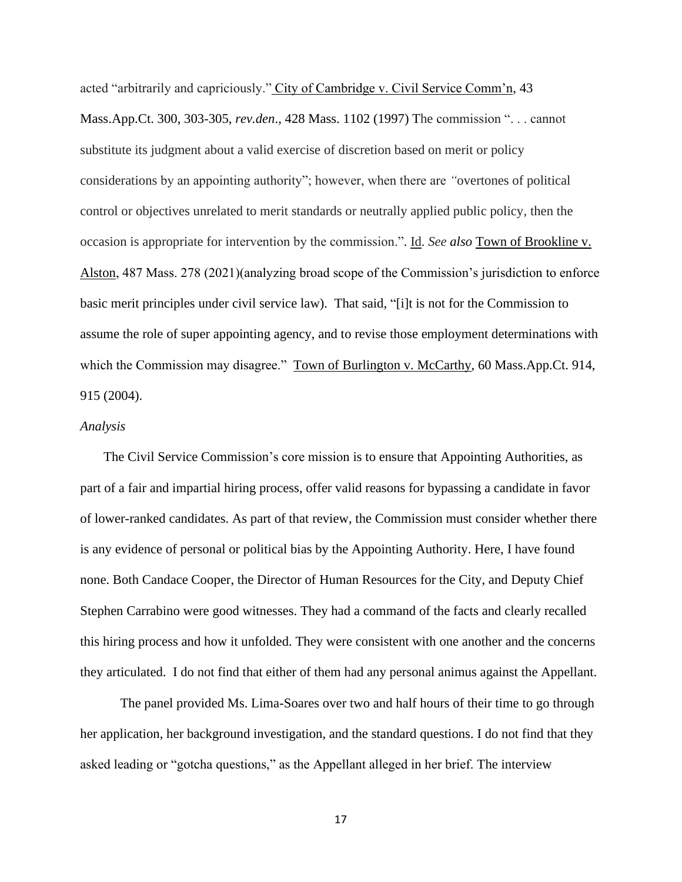acted "arbitrarily and capriciously." City of Cambridge v. Civil Service Comm'n, 43 Mass.App.Ct. 300, 303-305, *rev.den*., 428 Mass. 1102 (1997) The commission ". . . cannot substitute its judgment about a valid exercise of discretion based on merit or policy considerations by an appointing authority"; however, when there are *"*overtones of political control or objectives unrelated to merit standards or neutrally applied public policy, then the occasion is appropriate for intervention by the commission.". Id. *See also* Town of Brookline v. Alston, 487 Mass. 278 (2021)(analyzing broad scope of the Commission's jurisdiction to enforce basic merit principles under civil service law). That said, "[i]t is not for the Commission to assume the role of super appointing agency, and to revise those employment determinations with which the Commission may disagree." Town of Burlington v. McCarthy, 60 Mass.App.Ct. 914, 915 (2004).

### *Analysis*

 The Civil Service Commission's core mission is to ensure that Appointing Authorities, as part of a fair and impartial hiring process, offer valid reasons for bypassing a candidate in favor of lower-ranked candidates. As part of that review, the Commission must consider whether there is any evidence of personal or political bias by the Appointing Authority. Here, I have found none. Both Candace Cooper, the Director of Human Resources for the City, and Deputy Chief Stephen Carrabino were good witnesses. They had a command of the facts and clearly recalled this hiring process and how it unfolded. They were consistent with one another and the concerns they articulated. I do not find that either of them had any personal animus against the Appellant.

The panel provided Ms. Lima-Soares over two and half hours of their time to go through her application, her background investigation, and the standard questions. I do not find that they asked leading or "gotcha questions," as the Appellant alleged in her brief. The interview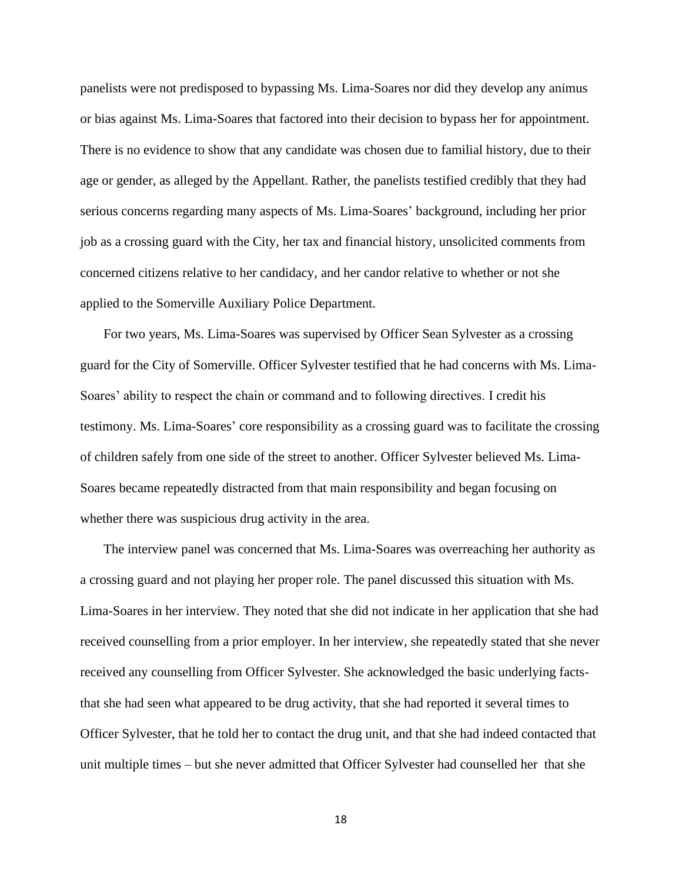panelists were not predisposed to bypassing Ms. Lima-Soares nor did they develop any animus or bias against Ms. Lima-Soares that factored into their decision to bypass her for appointment. There is no evidence to show that any candidate was chosen due to familial history, due to their age or gender, as alleged by the Appellant. Rather, the panelists testified credibly that they had serious concerns regarding many aspects of Ms. Lima-Soares' background, including her prior job as a crossing guard with the City, her tax and financial history, unsolicited comments from concerned citizens relative to her candidacy, and her candor relative to whether or not she applied to the Somerville Auxiliary Police Department.

 For two years, Ms. Lima-Soares was supervised by Officer Sean Sylvester as a crossing guard for the City of Somerville. Officer Sylvester testified that he had concerns with Ms. Lima-Soares' ability to respect the chain or command and to following directives. I credit his testimony. Ms. Lima-Soares' core responsibility as a crossing guard was to facilitate the crossing of children safely from one side of the street to another. Officer Sylvester believed Ms. Lima-Soares became repeatedly distracted from that main responsibility and began focusing on whether there was suspicious drug activity in the area.

 The interview panel was concerned that Ms. Lima-Soares was overreaching her authority as a crossing guard and not playing her proper role. The panel discussed this situation with Ms. Lima-Soares in her interview. They noted that she did not indicate in her application that she had received counselling from a prior employer. In her interview, she repeatedly stated that she never received any counselling from Officer Sylvester. She acknowledged the basic underlying factsthat she had seen what appeared to be drug activity, that she had reported it several times to Officer Sylvester, that he told her to contact the drug unit, and that she had indeed contacted that unit multiple times – but she never admitted that Officer Sylvester had counselled her that she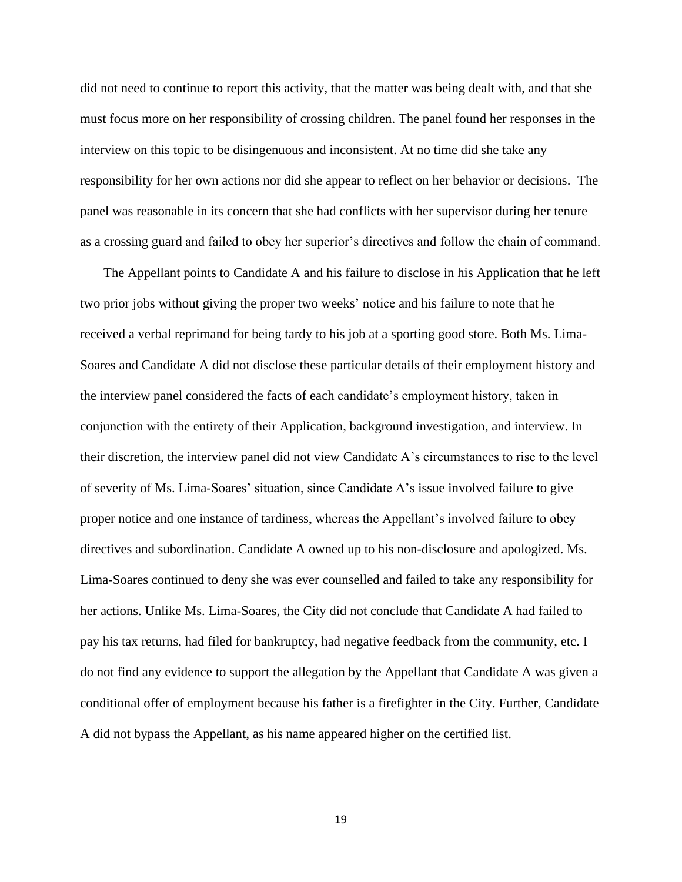did not need to continue to report this activity, that the matter was being dealt with, and that she must focus more on her responsibility of crossing children. The panel found her responses in the interview on this topic to be disingenuous and inconsistent. At no time did she take any responsibility for her own actions nor did she appear to reflect on her behavior or decisions. The panel was reasonable in its concern that she had conflicts with her supervisor during her tenure as a crossing guard and failed to obey her superior's directives and follow the chain of command.

 The Appellant points to Candidate A and his failure to disclose in his Application that he left two prior jobs without giving the proper two weeks' notice and his failure to note that he received a verbal reprimand for being tardy to his job at a sporting good store. Both Ms. Lima-Soares and Candidate A did not disclose these particular details of their employment history and the interview panel considered the facts of each candidate's employment history, taken in conjunction with the entirety of their Application, background investigation, and interview. In their discretion, the interview panel did not view Candidate A's circumstances to rise to the level of severity of Ms. Lima-Soares' situation, since Candidate A's issue involved failure to give proper notice and one instance of tardiness, whereas the Appellant's involved failure to obey directives and subordination. Candidate A owned up to his non-disclosure and apologized. Ms. Lima-Soares continued to deny she was ever counselled and failed to take any responsibility for her actions. Unlike Ms. Lima-Soares, the City did not conclude that Candidate A had failed to pay his tax returns, had filed for bankruptcy, had negative feedback from the community, etc. I do not find any evidence to support the allegation by the Appellant that Candidate A was given a conditional offer of employment because his father is a firefighter in the City. Further, Candidate A did not bypass the Appellant, as his name appeared higher on the certified list.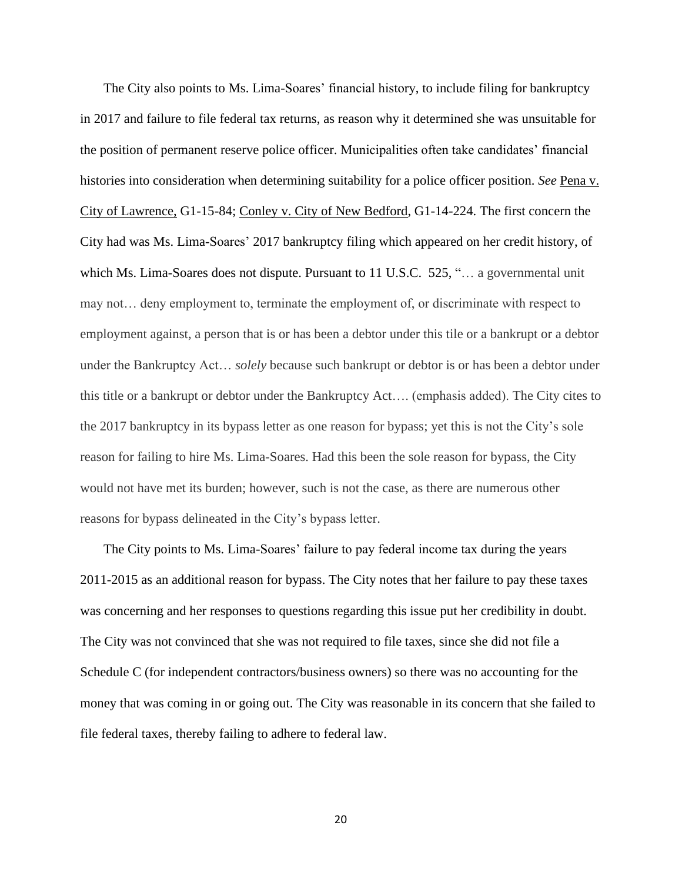The City also points to Ms. Lima-Soares' financial history, to include filing for bankruptcy in 2017 and failure to file federal tax returns, as reason why it determined she was unsuitable for the position of permanent reserve police officer. Municipalities often take candidates' financial histories into consideration when determining suitability for a police officer position. *See* Pena v. City of Lawrence, G1-15-84; Conley v. City of New Bedford, G1-14-224. The first concern the City had was Ms. Lima-Soares' 2017 bankruptcy filing which appeared on her credit history, of which Ms. Lima-Soares does not dispute. Pursuant to 11 U.S.C. 525, "... a governmental unit may not… deny employment to, terminate the employment of, or discriminate with respect to employment against, a person that is or has been a debtor under this tile or a bankrupt or a debtor under the Bankruptcy Act… *solely* because such bankrupt or debtor is or has been a debtor under this title or a bankrupt or debtor under the Bankruptcy Act…. (emphasis added). The City cites to the 2017 bankruptcy in its bypass letter as one reason for bypass; yet this is not the City's sole reason for failing to hire Ms. Lima-Soares. Had this been the sole reason for bypass, the City would not have met its burden; however, such is not the case, as there are numerous other reasons for bypass delineated in the City's bypass letter.

 The City points to Ms. Lima-Soares' failure to pay federal income tax during the years 2011-2015 as an additional reason for bypass. The City notes that her failure to pay these taxes was concerning and her responses to questions regarding this issue put her credibility in doubt. The City was not convinced that she was not required to file taxes, since she did not file a Schedule C (for independent contractors/business owners) so there was no accounting for the money that was coming in or going out. The City was reasonable in its concern that she failed to file federal taxes, thereby failing to adhere to federal law.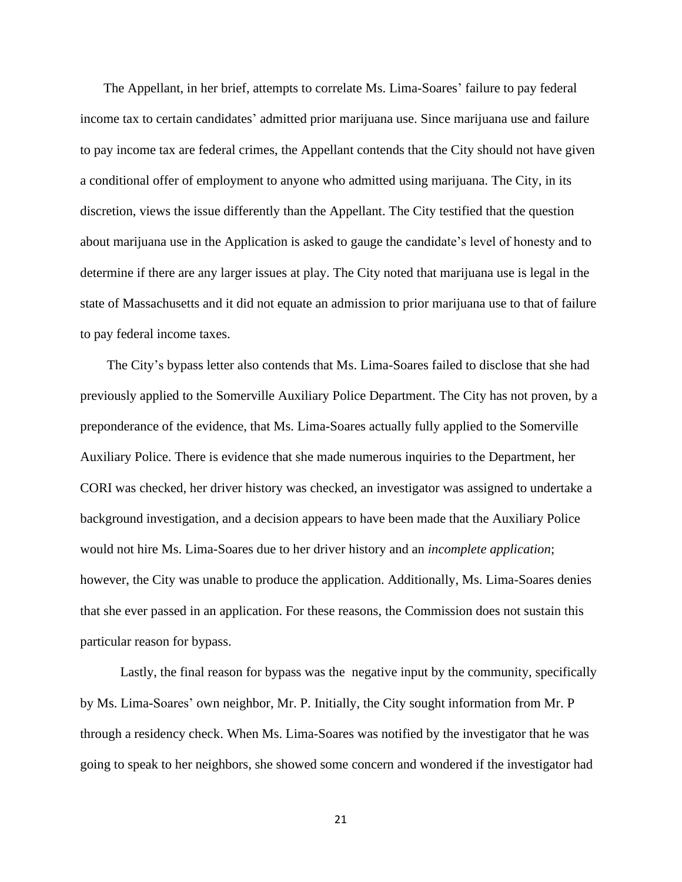The Appellant, in her brief, attempts to correlate Ms. Lima-Soares' failure to pay federal income tax to certain candidates' admitted prior marijuana use. Since marijuana use and failure to pay income tax are federal crimes, the Appellant contends that the City should not have given a conditional offer of employment to anyone who admitted using marijuana. The City, in its discretion, views the issue differently than the Appellant. The City testified that the question about marijuana use in the Application is asked to gauge the candidate's level of honesty and to determine if there are any larger issues at play. The City noted that marijuana use is legal in the state of Massachusetts and it did not equate an admission to prior marijuana use to that of failure to pay federal income taxes.

 The City's bypass letter also contends that Ms. Lima-Soares failed to disclose that she had previously applied to the Somerville Auxiliary Police Department. The City has not proven, by a preponderance of the evidence, that Ms. Lima-Soares actually fully applied to the Somerville Auxiliary Police. There is evidence that she made numerous inquiries to the Department, her CORI was checked, her driver history was checked, an investigator was assigned to undertake a background investigation, and a decision appears to have been made that the Auxiliary Police would not hire Ms. Lima-Soares due to her driver history and an *incomplete application*; however, the City was unable to produce the application. Additionally, Ms. Lima-Soares denies that she ever passed in an application. For these reasons, the Commission does not sustain this particular reason for bypass.

Lastly, the final reason for bypass was the negative input by the community, specifically by Ms. Lima-Soares' own neighbor, Mr. P. Initially, the City sought information from Mr. P through a residency check. When Ms. Lima-Soares was notified by the investigator that he was going to speak to her neighbors, she showed some concern and wondered if the investigator had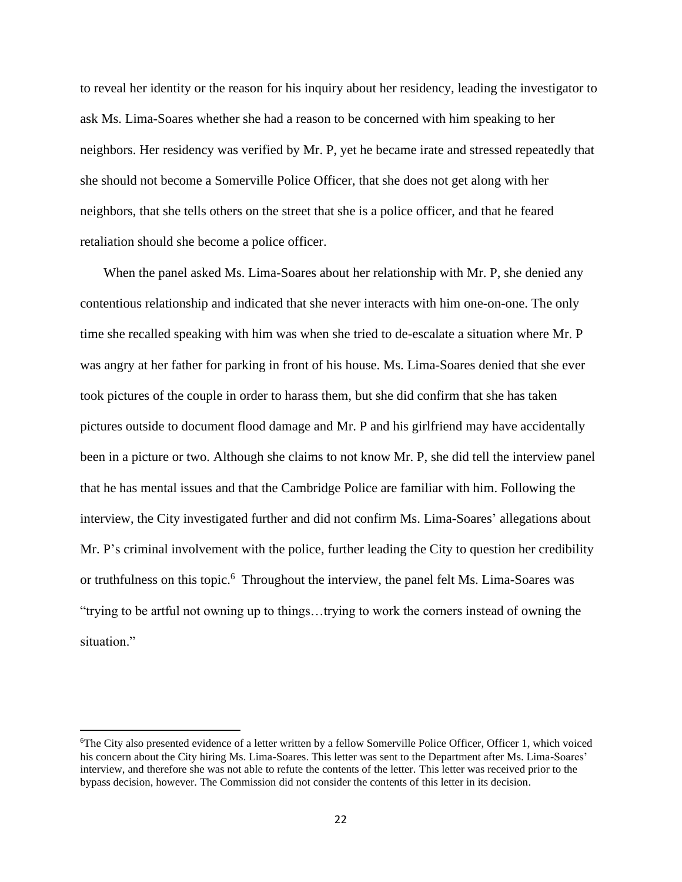to reveal her identity or the reason for his inquiry about her residency, leading the investigator to ask Ms. Lima-Soares whether she had a reason to be concerned with him speaking to her neighbors. Her residency was verified by Mr. P, yet he became irate and stressed repeatedly that she should not become a Somerville Police Officer, that she does not get along with her neighbors, that she tells others on the street that she is a police officer, and that he feared retaliation should she become a police officer.

 When the panel asked Ms. Lima-Soares about her relationship with Mr. P, she denied any contentious relationship and indicated that she never interacts with him one-on-one. The only time she recalled speaking with him was when she tried to de-escalate a situation where Mr. P was angry at her father for parking in front of his house. Ms. Lima-Soares denied that she ever took pictures of the couple in order to harass them, but she did confirm that she has taken pictures outside to document flood damage and Mr. P and his girlfriend may have accidentally been in a picture or two. Although she claims to not know Mr. P, she did tell the interview panel that he has mental issues and that the Cambridge Police are familiar with him. Following the interview, the City investigated further and did not confirm Ms. Lima-Soares' allegations about Mr. P's criminal involvement with the police, further leading the City to question her credibility or truthfulness on this topic.<sup>6</sup> Throughout the interview, the panel felt Ms. Lima-Soares was "trying to be artful not owning up to things…trying to work the corners instead of owning the situation."

<sup>&</sup>lt;sup>6</sup>The City also presented evidence of a letter written by a fellow Somerville Police Officer, Officer 1, which voiced his concern about the City hiring Ms. Lima-Soares. This letter was sent to the Department after Ms. Lima-Soares' interview, and therefore she was not able to refute the contents of the letter. This letter was received prior to the bypass decision, however. The Commission did not consider the contents of this letter in its decision.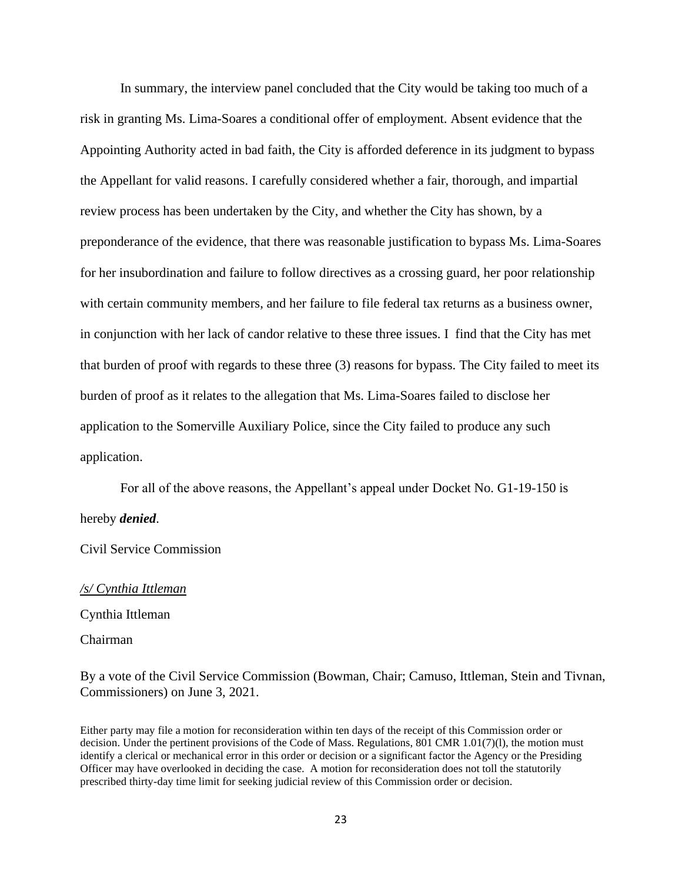In summary, the interview panel concluded that the City would be taking too much of a risk in granting Ms. Lima-Soares a conditional offer of employment. Absent evidence that the Appointing Authority acted in bad faith, the City is afforded deference in its judgment to bypass the Appellant for valid reasons. I carefully considered whether a fair, thorough, and impartial review process has been undertaken by the City, and whether the City has shown, by a preponderance of the evidence, that there was reasonable justification to bypass Ms. Lima-Soares for her insubordination and failure to follow directives as a crossing guard, her poor relationship with certain community members, and her failure to file federal tax returns as a business owner, in conjunction with her lack of candor relative to these three issues. I find that the City has met that burden of proof with regards to these three (3) reasons for bypass. The City failed to meet its burden of proof as it relates to the allegation that Ms. Lima-Soares failed to disclose her application to the Somerville Auxiliary Police, since the City failed to produce any such application.

For all of the above reasons, the Appellant's appeal under Docket No. G1-19-150 is hereby *denied*.

Civil Service Commission

*/s/ Cynthia Ittleman* Cynthia Ittleman Chairman

By a vote of the Civil Service Commission (Bowman, Chair; Camuso, Ittleman, Stein and Tivnan, Commissioners) on June 3, 2021.

Either party may file a motion for reconsideration within ten days of the receipt of this Commission order or decision. Under the pertinent provisions of the Code of Mass. Regulations, 801 CMR 1.01(7)(l), the motion must identify a clerical or mechanical error in this order or decision or a significant factor the Agency or the Presiding Officer may have overlooked in deciding the case. A motion for reconsideration does not toll the statutorily prescribed thirty-day time limit for seeking judicial review of this Commission order or decision.